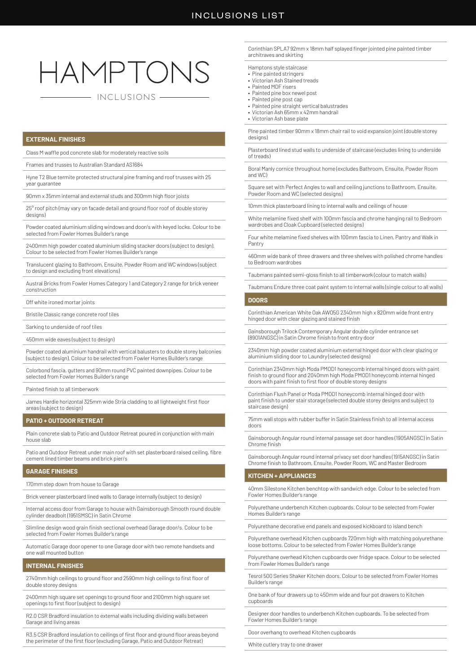# HAMPTONS

# INCLUSIONS

# **EXTERNAL FINISHES**

Class M waffle pod concrete slab for moderately reactive soils

Frames and trusses to Australian Standard AS1684

Hyne T2 Blue termite protected structural pine framing and roof trusses with 25 year guarantee

90mm x 35mm internal and external studs and 300mm high floor joists

25° roof pitch (may vary on facade detail and ground floor roof of double storey designs)

Powder coated aluminium sliding windows and door/s with keyed locks. Colour to be selected from Fowler Homes Builder's range

2400mm high powder coated aluminium sliding stacker doors (subject to design). Colour to be selected from Fowler Homes Builder's range

Translucent glazing to Bathroom, Ensuite, Powder Room and WC windows (subject to design and excluding front elevations)

Austral Bricks from Fowler Homes Category 1 and Category 2 range for brick veneer construction

Off white ironed mortar joints

Bristile Classic range concrete roof tiles

Sarking to underside of roof tiles

450mm wide eaves (subject to design)

Powder coated aluminium handrail with vertical balusters to double storey balconies (subject to design). Colour to be selected from Fowler Homes Builder's range

Colorbond fascia, gutters and 90mm round PVC painted downpipes. Colour to be selected from Fowler Homes Builder's range

Painted finish to all timberwork

James Hardie horizontal 325mm wide Stria cladding to all lightweight first floor areas (subject to design)

# **PATIO + OUTDOOR RETREAT**

Plain concrete slab to Patio and Outdoor Retreat poured in conjunction with main house slab

Patio and Outdoor Retreat under main roof with set plasterboard raised ceiling, fibre cement lined timber beams and brick pier/s

# **GARAGE FINISHES**

170mm step down from house to Garage

Brick veneer plasterboard lined walls to Garage internally (subject to design)

Internal access door from Garage to house with Gainsborough Smooth round double cylinder deadbolt (1951SMSC) in Satin Chrome

Slimline design wood grain finish sectional overhead Garage door/s. Colour to be selected from Fowler Homes Builder's range

Automatic Garage door opener to one Garage door with two remote handsets and one wall mounted button

# **INTERNAL FINISHES**

2740mm high ceilings to ground floor and 2590mm high ceilings to first floor of double storey designs

2400mm high square set openings to ground floor and 2100mm high square set openings to first floor (subject to design)

R2.0 CSR Bradford insulation to external walls including dividing walls between Garage and living areas

R3.5 CSR Bradford insulation to ceilings of first floor and ground floor areas beyond the perimeter of the first floor (excluding Garage, Patio and Outdoor Retreat)

Corinthian SPLA7 92mm x 18mm half splayed finger jointed pine painted timbe architraves and skirting

Hamptons style staircase

- Pine painted stringers
- Victorian Ash Stained treads • Painted MDF risers
- Painted pine box newel post
- Painted pine post cap
- Painted pine straight vertical balustrades
- Victorian Ash 65mm x 42mm handrail
- Victorian Ash base plate

Pine painted timber 90mm x 18mm chair rail to void expansion joint (double storey designs)

Plasterboard lined stud walls to underside of staircase (excludes lining to underside of treads)

Boral Manly cornice throughout home (excludes Bathroom, Ensuite, Powder Room and WC)

Square set with Perfect Angles to wall and ceiling junctions to Bathroom, Ensuite, Powder Room and WC (selected designs)

10mm thick plasterboard lining to internal walls and ceilings of house

White melamine fixed shelf with 100mm fascia and chrome hanging rail to Bedroom wardrobes and Cloak Cupboard (selected designs)

Four white melamine fixed shelves with 100mm fascia to Linen, Pantry and Walk in Pantry

460mm wide bank of three drawers and three shelves with polished chrome handles to Bedroom wardrobes

Taubmans painted semi-gloss finish to all timberwork (colour to match walls)

Taubmans Endure three coat paint system to internal walls (single colour to all walls)

# **DOORS**

Corinthian American White Oak AWO5G 2340mm high x 820mm wide front entry hinged door with clear glazing and stained finish

Gainsborough Trilock Contemporary Angular double cylinder entrance set (8901ANGSC) in Satin Chrome finish to front entry door

2340mm high powder coated aluminium external hinged door with clear glazing or aluminium sliding door to Laundry (selected designs)

Corinthian 2340mm high Moda PMOD1 honeycomb internal hinged doors with paint finish to ground floor and 2040mm high Moda PMOD1 honeycomb internal hinged doors with paint finish to first floor of double storey designs

Corinthian Flush Panel or Moda PMOD1 honeycomb internal hinged door with paint finish to under stair storage (selected double storey designs and subject to staircase design)

75mm wall stops with rubber buffer in Satin Stainless finish to all internal access doors

Gainsborough Angular round internal passage set door handles (1905ANGSC) in Satin Chrome finish

Gainsborough Angular round internal privacy set door handles (1915ANGSC) in Satin Chrome finish to Bathroom, Ensuite, Powder Room, WC and Master Bedroom

# **KITCHEN + APPLIANCES**

40mm Silestone Kitchen benchtop with sandwich edge. Colour to be selected from Fowler Homes Builder's range

Polyurethane underbench Kitchen cupboards. Colour to be selected from Fowler Homes Builder's range

Polyurethane decorative end panels and exposed kickboard to island bench

Polyurethane overhead Kitchen cupboards 720mm high with matching polyurethane loose bottoms. Colour to be selected from Fowler Homes Builder's range

Polyurethane overhead Kitchen cupboards over fridge space. Colour to be selected from Fowler Homes Builder's range

Tesrol 500 Series Shaker Kitchen doors. Colour to be selected from Fowler Homes Builder's range

One bank of four drawers up to 450mm wide and four pot drawers to Kitchen cupboards

Designer door handles to underbench Kitchen cupboards. To be selected from Fowler Homes Builder's range

Door overhang to overhead Kitchen cupboards

White cutlery tray to one drawer